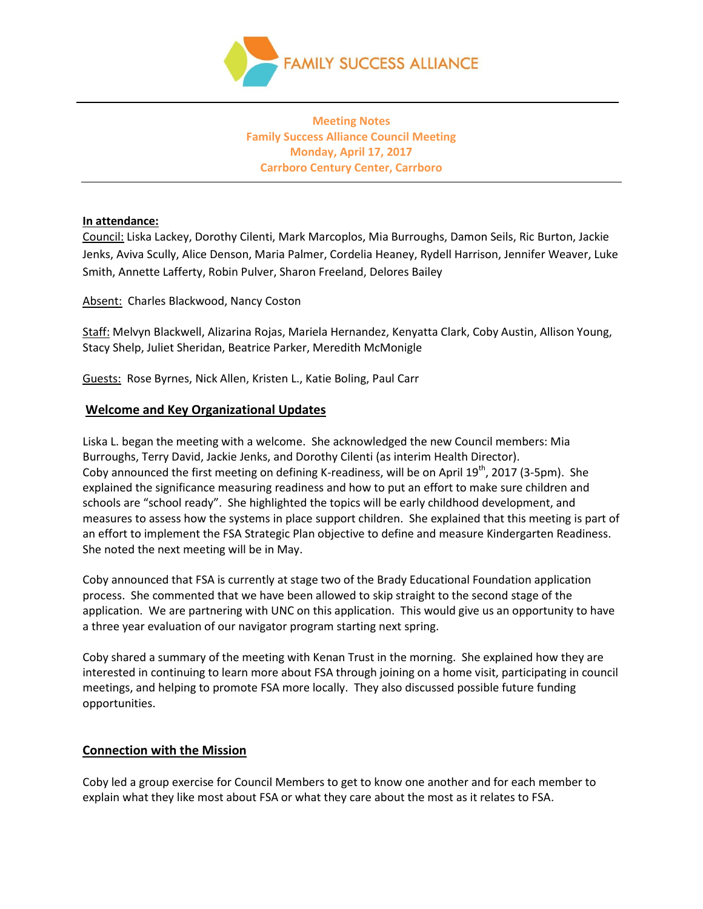

**Meeting Notes Family Success Alliance Council Meeting Monday, April 17, 2017 Carrboro Century Center, Carrboro**

### **In attendance:**

Council: Liska Lackey, Dorothy Cilenti, Mark Marcoplos, Mia Burroughs, Damon Seils, Ric Burton, Jackie Jenks, Aviva Scully, Alice Denson, Maria Palmer, Cordelia Heaney, Rydell Harrison, Jennifer Weaver, Luke Smith, Annette Lafferty, Robin Pulver, Sharon Freeland, Delores Bailey

Absent: Charles Blackwood, Nancy Coston

Staff: Melvyn Blackwell, Alizarina Rojas, Mariela Hernandez, Kenyatta Clark, Coby Austin, Allison Young, Stacy Shelp, Juliet Sheridan, Beatrice Parker, Meredith McMonigle

Guests: Rose Byrnes, Nick Allen, Kristen L., Katie Boling, Paul Carr

# **Welcome and Key Organizational Updates**

Liska L. began the meeting with a welcome. She acknowledged the new Council members: Mia Burroughs, Terry David, Jackie Jenks, and Dorothy Cilenti (as interim Health Director). Coby announced the first meeting on defining K-readiness, will be on April  $19<sup>th</sup>$ , 2017 (3-5pm). She explained the significance measuring readiness and how to put an effort to make sure children and schools are "school ready". She highlighted the topics will be early childhood development, and measures to assess how the systems in place support children. She explained that this meeting is part of an effort to implement the FSA Strategic Plan objective to define and measure Kindergarten Readiness. She noted the next meeting will be in May.

Coby announced that FSA is currently at stage two of the Brady Educational Foundation application process. She commented that we have been allowed to skip straight to the second stage of the application. We are partnering with UNC on this application. This would give us an opportunity to have a three year evaluation of our navigator program starting next spring.

Coby shared a summary of the meeting with Kenan Trust in the morning. She explained how they are interested in continuing to learn more about FSA through joining on a home visit, participating in council meetings, and helping to promote FSA more locally. They also discussed possible future funding opportunities.

### **Connection with the Mission**

Coby led a group exercise for Council Members to get to know one another and for each member to explain what they like most about FSA or what they care about the most as it relates to FSA.